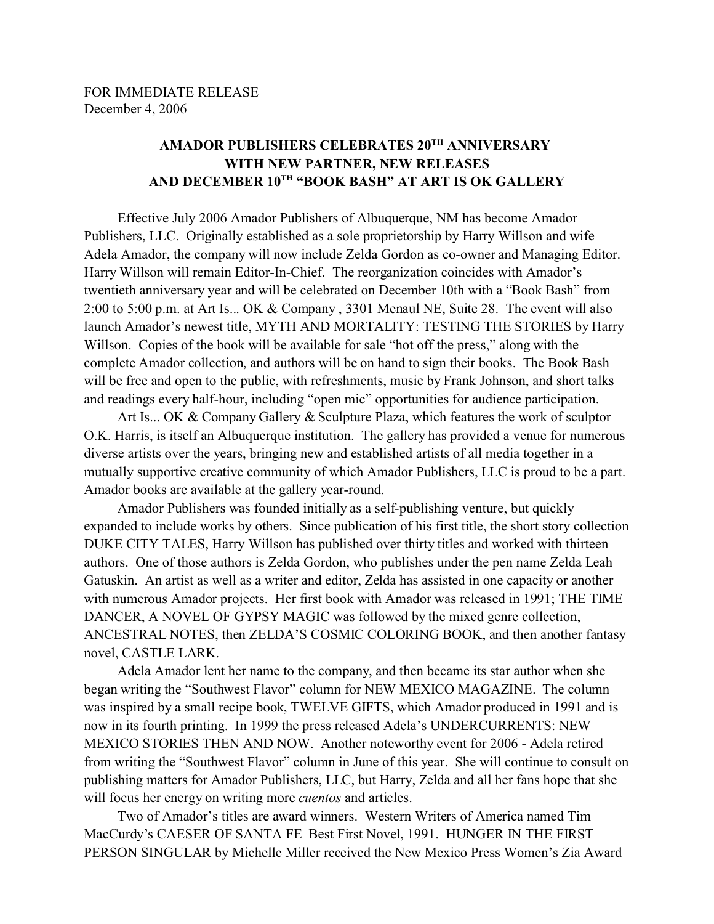## **AMADOR PUBLISHERS CELEBRATES 20TH ANNIVERSARY WITH NEW PARTNER, NEW RELEASES AND DECEMBER 10TH "BOOK BASH" AT ART IS OK GALLERY**

Effective July 2006 Amador Publishers of Albuquerque, NM has become Amador Publishers, LLC. Originally established as a sole proprietorship by Harry Willson and wife Adela Amador, the company will now include Zelda Gordon as co-owner and Managing Editor. Harry Willson will remain Editor-In-Chief. The reorganization coincides with Amador's twentieth anniversary year and will be celebrated on December 10th with a "Book Bash" from 2:00 to 5:00 p.m. at Art Is... OK & Company , 3301 Menaul NE, Suite 28. The event will also launch Amador's newest title, MYTH AND MORTALITY: TESTING THE STORIES by Harry Willson. Copies of the book will be available for sale "hot off the press," along with the complete Amador collection, and authors will be on hand to sign their books. The Book Bash will be free and open to the public, with refreshments, music by Frank Johnson, and short talks and readings every half-hour, including "open mic" opportunities for audience participation.

Art Is... OK & Company Gallery & Sculpture Plaza, which features the work of sculptor O.K. Harris, is itself an Albuquerque institution. The gallery has provided a venue for numerous diverse artists over the years, bringing new and established artists of all media together in a mutually supportive creative community of which Amador Publishers, LLC is proud to be a part. Amador books are available at the gallery year-round.

Amador Publishers was founded initially as a self-publishing venture, but quickly expanded to include works by others. Since publication of his first title, the short story collection DUKE CITY TALES, Harry Willson has published over thirty titles and worked with thirteen authors. One of those authors is Zelda Gordon, who publishes under the pen name Zelda Leah Gatuskin. An artist as well as a writer and editor, Zelda has assisted in one capacity or another with numerous Amador projects. Her first book with Amador was released in 1991; THE TIME DANCER, A NOVEL OF GYPSY MAGIC was followed by the mixed genre collection, ANCESTRAL NOTES, then ZELDA'S COSMIC COLORING BOOK, and then another fantasy novel, CASTLE LARK.

Adela Amador lent her name to the company, and then became its star author when she began writing the "Southwest Flavor" column for NEW MEXICO MAGAZINE. The column was inspired by a small recipe book, TWELVE GIFTS, which Amador produced in 1991 and is now in its fourth printing. In 1999 the press released Adela's UNDERCURRENTS: NEW MEXICO STORIES THEN AND NOW. Another noteworthy event for 2006 - Adela retired from writing the "Southwest Flavor" column in June of this year. She will continue to consult on publishing matters for Amador Publishers, LLC, but Harry, Zelda and all her fans hope that she will focus her energy on writing more *cuentos* and articles.

Two of Amador's titles are award winners. Western Writers of America named Tim MacCurdy's CAESER OF SANTA FE Best First Novel, 1991. HUNGER IN THE FIRST PERSON SINGULAR by Michelle Miller received the New Mexico Press Women's Zia Award